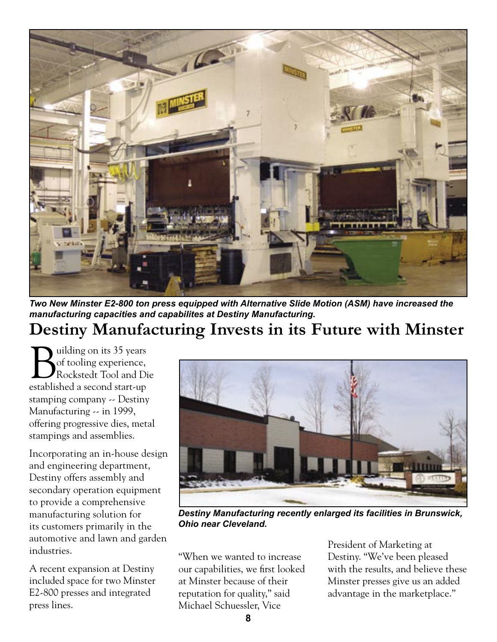

*Two New Minster E2-800 ton press equipped with Alternative Slide Motion (ASM) have increased the manufacturing capacities and capabilites at Destiny Manufacturing.*

## **Destiny Manufacturing Invests in its Future with Minster**

Building on its 35 years<br>of tooling experience,<br>Rockstedt Tool and Di of tooling experience, Rockstedt Tool and Die established a second start-up stamping company -- Destiny Manufacturing -- in 1999, offering progressive dies, metal stampings and assemblies.

Incorporating an in-house design and engineering department, Destiny offers assembly and secondary operation equipment to provide a comprehensive manufacturing solution for its customers primarily in the automotive and lawn and garden industries.

A recent expansion at Destiny included space for two Minster E2-800 presses and integrated press lines.



*Destiny Manufacturing recently enlarged its facilities in Brunswick, Ohio near Cleveland.*

"When we wanted to increase our capabilities, we first looked at Minster because of their reputation for quality," said Michael Schuessler, Vice

President of Marketing at Destiny. "We've been pleased with the results, and believe these Minster presses give us an added advantage in the marketplace."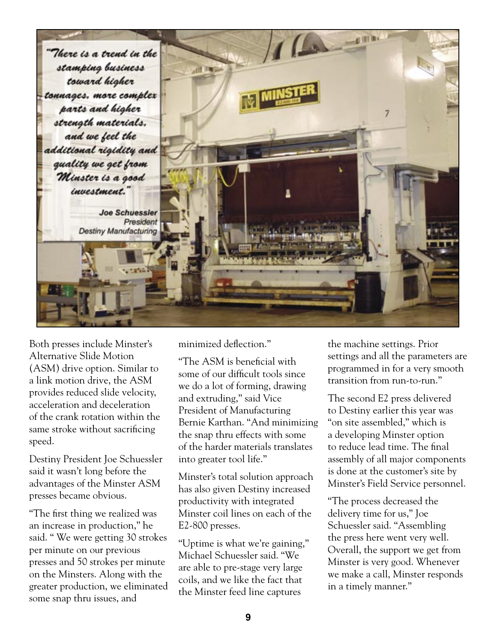

Both presses include Minster's Alternative Slide Motion (ASM) drive option. Similar to a link motion drive, the ASM provides reduced slide velocity, acceleration and deceleration of the crank rotation within the same stroke without sacrificing speed.

Destiny President Joe Schuessler said it wasn't long before the advantages of the Minster ASM presses became obvious.

"The first thing we realized was an increase in production," he said. " We were getting 30 strokes per minute on our previous presses and 50 strokes per minute on the Minsters. Along with the greater production, we eliminated some snap thru issues, and

minimized deflection."

"The ASM is beneficial with some of our difficult tools since we do a lot of forming, drawing and extruding," said Vice President of Manufacturing Bernie Karthan. "And minimizing the snap thru effects with some of the harder materials translates into greater tool life."

Minster's total solution approach has also given Destiny increased productivity with integrated Minster coil lines on each of the E2-800 presses.

"Uptime is what we're gaining," Michael Schuessler said. "We are able to pre-stage very large coils, and we like the fact that the Minster feed line captures

the machine settings. Prior settings and all the parameters are programmed in for a very smooth transition from run-to-run."

The second E2 press delivered to Destiny earlier this year was "on site assembled," which is a developing Minster option to reduce lead time. The final assembly of all major components is done at the customer's site by Minster's Field Service personnel.

"The process decreased the delivery time for us," Joe Schuessler said. "Assembling the press here went very well. Overall, the support we get from Minster is very good. Whenever we make a call, Minster responds in a timely manner."